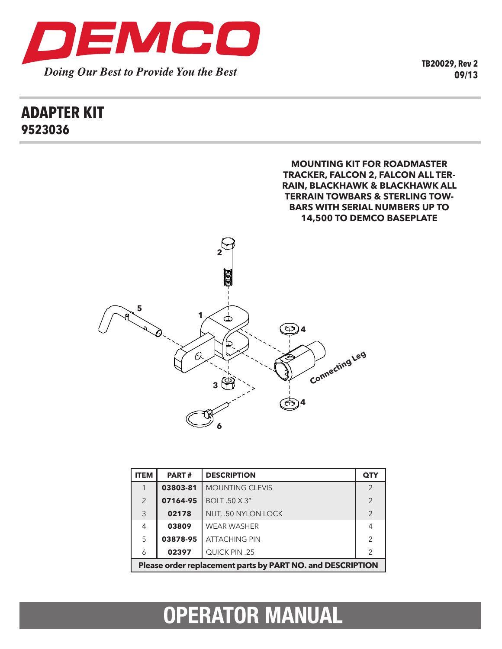

**TB20029, Rev 2 09/13**

### **ADAPTER KIT 9523036**



| <b>ITEM</b>                                                | <b>PART#</b> | <b>DESCRIPTION</b>     | <b>QTY</b>     |
|------------------------------------------------------------|--------------|------------------------|----------------|
|                                                            | 03803-81     | <b>MOUNTING CLEVIS</b> | $\mathcal{P}$  |
| 2                                                          | 07164-95     | <b>BOLT .50 X 3"</b>   | $\mathcal{P}$  |
| 3                                                          | 02178        | NUT, .50 NYLON LOCK    | $\mathcal{P}$  |
| 4                                                          | 03809        | <b>WEAR WASHER</b>     | 4              |
| 5                                                          | 03878-95     | <b>ATTACHING PIN</b>   | $\mathcal{P}$  |
| 6                                                          | 02397        | QUICK PIN .25          | $\overline{2}$ |
| Please order replacement parts by PART NO. and DESCRIPTION |              |                        |                |

# **OPERATOR MANUAL**